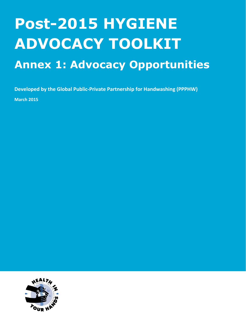## **Post-2015 HYGIENE ADVOCACY TOOLKIT**

## **Annex 1: Advocacy Opportunities**

**Developed by the Global Public-Private Partnership for Handwashing (PPPHW)**

**March 2015**

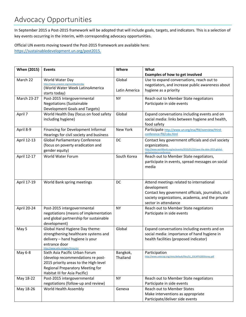In September 2015 a Post-2015 framework will be adopted that will include goals, targets, and indicators. This is a selection of key events occurring in the interim, with corresponding advocacy opportunities.

Official UN events moving toward the Post-2015 framework are available here: [https://sustainabledevelopment.un.org/post2015.](https://sustainabledevelopment.un.org/post2015)

| <b>When (2015)</b> | <b>Events</b>                                                           | Where         | What                                                                     |
|--------------------|-------------------------------------------------------------------------|---------------|--------------------------------------------------------------------------|
|                    |                                                                         |               | <b>Examples of how to get involved</b>                                   |
| March 22           | World Water Day                                                         | Global        | Use to expand conversations, reach out to                                |
|                    | http://www.unwater.org/worldwaterday<br>(World Water Week LatinoAmerica |               | negotiators, and increase public awareness about                         |
|                    | starts today)                                                           | Latin America | hygiene as a priority                                                    |
| March 23-27        | Post-2015 Intergovernmental                                             | <b>NY</b>     | Reach out to Member State negotiators                                    |
|                    | <b>Negotiations (Sustainable</b>                                        |               | Participate in side events                                               |
|                    | Development Goals and Targets)                                          |               |                                                                          |
| April 7            | World Health Day (focus on food safety                                  | Global        | Expand conversations including events and on                             |
|                    | including hygiene)                                                      |               | social media: links between hygiene and health,                          |
|                    |                                                                         |               | food safety                                                              |
| April 8-9          | Financing for Development Informal                                      | New York      | Participate http://www.un.org/esa/ffd/overview/third-                    |
|                    | Hearings for civil society and business                                 |               | conference-ffd/csbs.html                                                 |
| April 12-13        | <b>Global Parliamentary Conference</b>                                  | DC            | Contact key government officials and civil society                       |
|                    | (focus on poverty eradication and                                       |               | organizations.                                                           |
|                    | gender equity)                                                          |               | http://www.worldbank.org/en/events/2015/01/22/save-the-date-2015-global- |
| April 12-17        | World Water Forum                                                       | South Korea   | parliamentary-conference<br>Reach out to Member State negotiators,       |
|                    |                                                                         |               | participate in events, spread messages on social                         |
|                    |                                                                         |               | media                                                                    |
|                    |                                                                         |               |                                                                          |
|                    |                                                                         |               |                                                                          |
| April 17-19        | World Bank spring meetings                                              | DC            | Attend meetings related to international                                 |
|                    |                                                                         |               | development                                                              |
|                    |                                                                         |               | Contact key government officials, journalists, civil                     |
|                    |                                                                         |               | society organizations, academia, and the private                         |
|                    |                                                                         |               | sector in attendance                                                     |
| April 20-24        | Post-2015 intergovernmental                                             | <b>NY</b>     | Reach out to Member State negotiators                                    |
|                    | negotiations (means of implementation                                   |               | Participate in side events                                               |
|                    | and global partnership for sustainable                                  |               |                                                                          |
|                    | development)                                                            |               |                                                                          |
| May 5              | Global Hand Hygiene Day theme:                                          | Global        | Expand conversations including events and on                             |
|                    | strengthening healthcare systems and                                    |               | social media: importance of hand hygiene in                              |
|                    | delivery - hand hygiene is your                                         |               | health facilities (proposed indicator)                                   |
|                    | entrance door                                                           |               |                                                                          |
| May 6-8            | http://www.who.int/gpsc/5may/en<br>Sixth Asia Pacific Urban Forum       | Bangkok,      | Participation                                                            |
|                    | (develop recommendations re post-                                       | Thailand      | http://www.unescap.org/sites/default/files/S1_ESCAP%20DStorey.pdf        |
|                    | 2015 priority areas to the High-level                                   |               |                                                                          |
|                    | Regional Preparatory Meeting for                                        |               |                                                                          |
|                    | Habitat III for Asia Pacific)                                           |               |                                                                          |
| May 18-22          | Post-2015 intergovernmental                                             | <b>NY</b>     | Reach out to Member State negotiators                                    |
|                    | negotiations (follow-up and review)                                     |               | Participate in side events                                               |
| May 18-26          | World Health Assembly                                                   | Geneva        | <b>Reach out to Member States</b>                                        |
|                    |                                                                         |               | Make interventions as appropriate                                        |
|                    |                                                                         |               | Participate/deliver side events                                          |